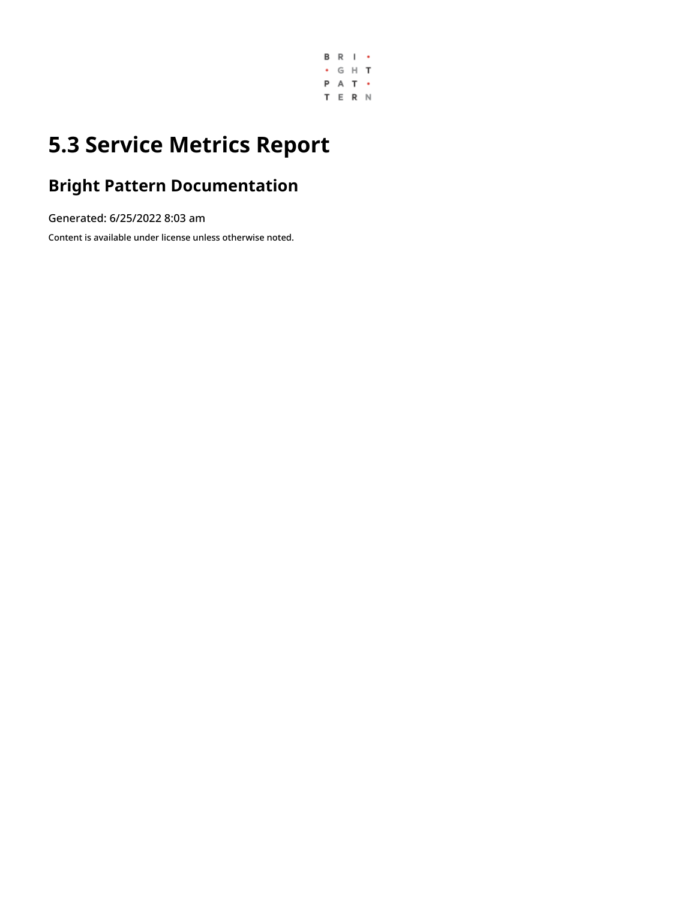

# **5.3 Service Metrics Report**

## **Bright Pattern Documentation**

Generated: 6/25/2022 8:03 am

Content is available under license unless otherwise noted.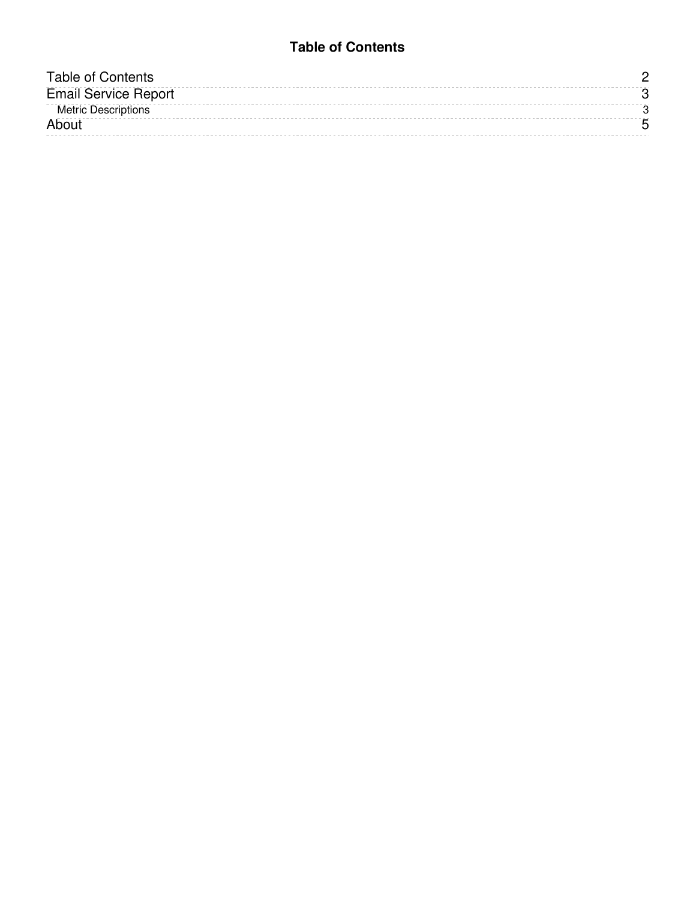### **Table of Contents**

<span id="page-1-0"></span>

| Table of Contents           |  |
|-----------------------------|--|
| <b>Email Service Report</b> |  |
| <b>Metric Descriptions</b>  |  |
| About                       |  |
|                             |  |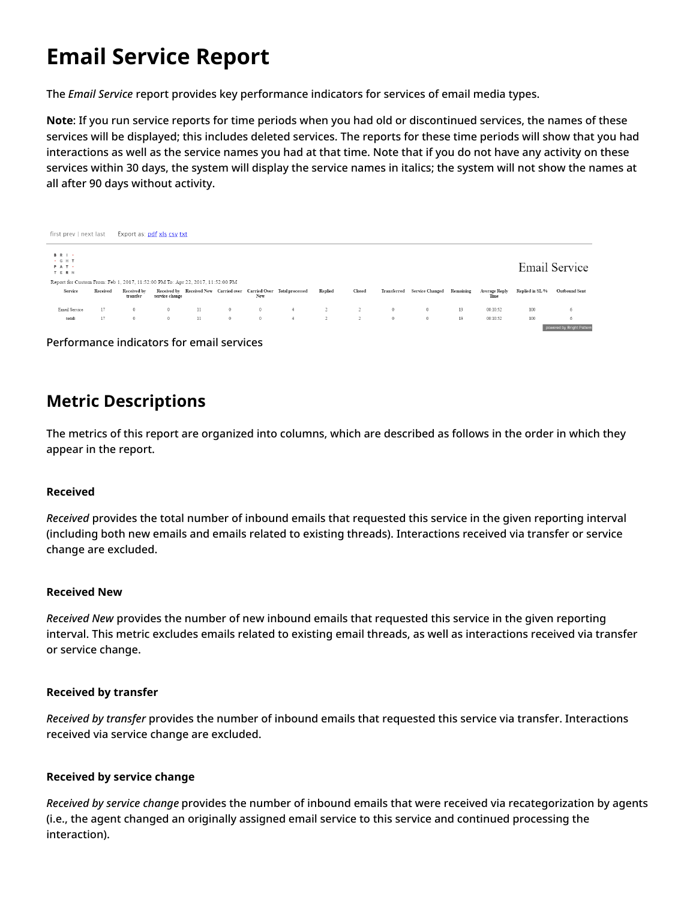# <span id="page-2-0"></span>**Email Service Report**

The *Email Service* report provides key performance indicators for services of email media types.

**Note**: If you run service reports for time periods when you had old or discontinued services, the names of these services will be displayed; this includes deleted services. The reports for these time periods will show that you had interactions as well as the service names you had at that time. Note that if you do not have any activity on these services within 30 days, the system will display the service names in italics; the system will not show the names at all after 90 days without activity.

|                                                                                | Export as: pdf xls csv txt<br>first prev   next last |                         |                |    |         |         |                                                                    |                |        |              |                           |    |                       |                 |                           |
|--------------------------------------------------------------------------------|------------------------------------------------------|-------------------------|----------------|----|---------|---------|--------------------------------------------------------------------|----------------|--------|--------------|---------------------------|----|-----------------------|-----------------|---------------------------|
| <b>BRI</b><br>. G H T<br>Email Service<br>PAT .<br>T E R N                     |                                                      |                         |                |    |         |         |                                                                    |                |        |              |                           |    |                       |                 |                           |
| Report for Custom From: Feb 1, 2017, 11:52:00 PM To: Apr 22, 2017, 11:52:00 PM |                                                      |                         |                |    |         |         |                                                                    |                |        |              |                           |    |                       |                 |                           |
| Service                                                                        | Received                                             | Received by<br>transfer | service change |    |         | New     | Received by Received New Carried over Carried Over Total processed | Replied        | Closed | Transferred  | Service Changed Remaining |    | Average Reply<br>Time | Replied in SL % | <b>Outbound Sent</b>      |
| Email Service                                                                  | 17                                                   | $^{\circ}$              | $\mathbf{0}$   | 11 | $\circ$ | $\circ$ | $\overline{4}$                                                     | $\overline{c}$ |        | $\mathbf{0}$ | $\mathbf{0}$              | 13 | 00:10:52              | 100             |                           |
| total:                                                                         | 17                                                   | $\circ$                 | $\mathbf{0}$   | 11 | $\circ$ | $\circ$ | 4                                                                  | $\overline{c}$ |        | $\circ$      | $\circ$                   | 13 | 00:10:52              | 100             | 6                         |
|                                                                                |                                                      |                         |                |    |         |         |                                                                    |                |        |              |                           |    |                       |                 | powered by Bright Pattern |

Performance indicators for email services

### <span id="page-2-1"></span>**Metric Descriptions**

The metrics of this report are organized into columns, which are described as follows in the order in which they appear in the report.

#### **Received**

*Received* provides the total number of inbound emails that requested this service in the given reporting interval (including both new emails and emails related to existing threads). Interactions received via transfer or service change are excluded.

#### **Received New**

*Received New* provides the number of new inbound emails that requested this service in the given reporting interval. This metric excludes emails related to existing email threads, as well as interactions received via transfer or service change.

#### **Received by transfer**

*Received by transfer* provides the number of inbound emails that requested this service via transfer. Interactions received via service change are excluded.

#### **Received by service change**

*Received by service change* provides the number of inbound emails that were received via recategorization by agents (i.e., the agent changed an originally assigned email service to this service and continued processing the interaction).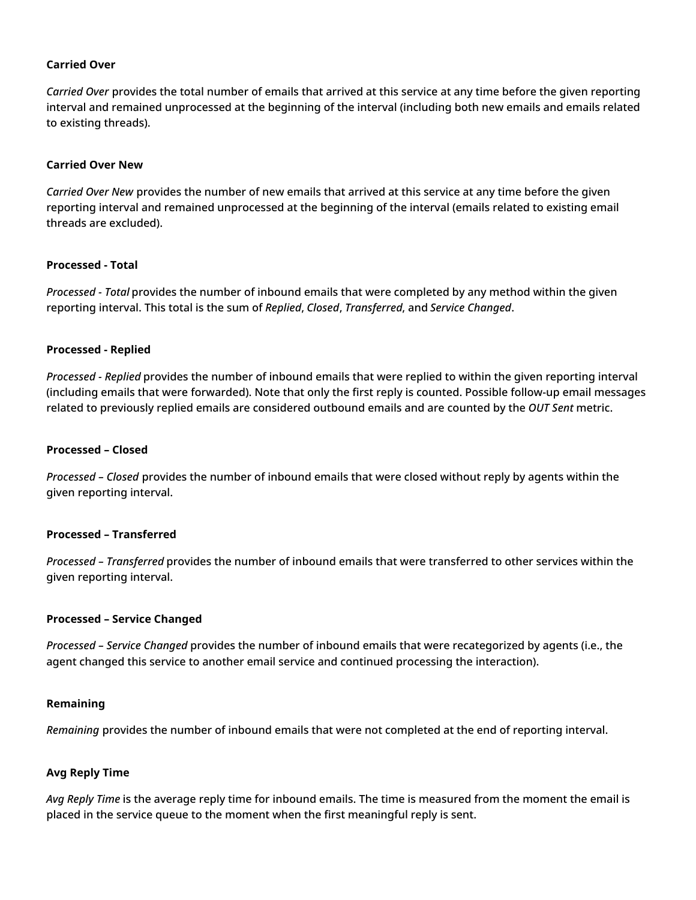#### **Carried Over**

*Carried Over* provides the total number of emails that arrived at this service at any time before the given reporting interval and remained unprocessed at the beginning of the interval (including both new emails and emails related to existing threads).

#### **Carried Over New**

*Carried Over New* provides the number of new emails that arrived at this service at any time before the given reporting interval and remained unprocessed at the beginning of the interval (emails related to existing email threads are excluded).

#### **Processed - Total**

*Processed - Total* provides the number of inbound emails that were completed by any method within the given reporting interval. This total is the sum of *Replied*, *Closed*, *Transferred*, and *Service Changed*.

#### **Processed - Replied**

*Processed - Replied* provides the number of inbound emails that were replied to within the given reporting interval (including emails that were forwarded). Note that only the first reply is counted. Possible follow-up email messages related to previously replied emails are considered outbound emails and are counted by the *OUT Sent* metric.

#### **Processed – Closed**

*Processed – Closed* provides the number of inbound emails that were closed without reply by agents within the given reporting interval.

#### **Processed – Transferred**

*Processed – Transferred* provides the number of inbound emails that were transferred to other services within the given reporting interval.

#### **Processed – Service Changed**

*Processed – Service Changed* provides the number of inbound emails that were recategorized by agents (i.e., the agent changed this service to another email service and continued processing the interaction).

#### **Remaining**

*Remaining* provides the number of inbound emails that were not completed at the end of reporting interval.

#### **Avg Reply Time**

*Avg Reply Time* is the average reply time for inbound emails. The time is measured from the moment the email is placed in the service queue to the moment when the first meaningful reply is sent.